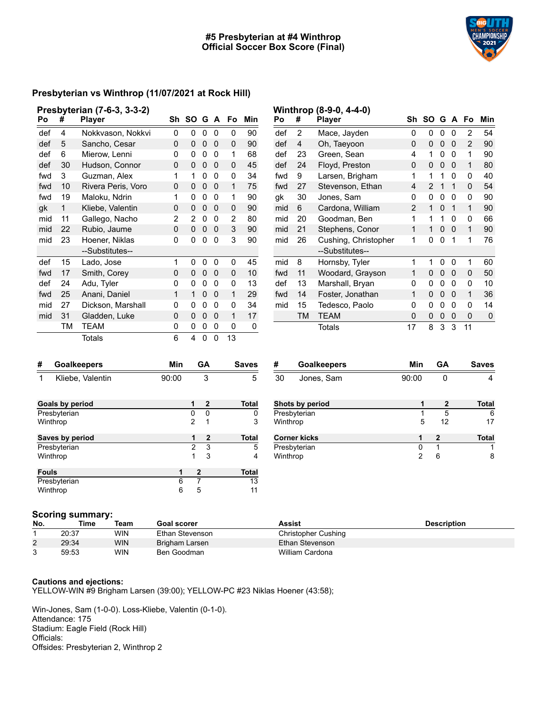### **#5 Presbyterian at #4 Winthrop Official Soccer Box Score (Final)**

**Winthrop (8-9-0, 4-4-0)**



### **Presbyterian vs Winthrop (11/07/2021 at Rock Hill)**

|     |    | Presbyterian (7-6-3, 3-3-2) |    |      |   |   |    |     |
|-----|----|-----------------------------|----|------|---|---|----|-----|
| Po  | #  | <b>Player</b>               | Sh | SO G |   | A | Fo | Min |
| def | 4  | Nokkvason, Nokkvi           | 0  | 0    | 0 | 0 | 0  | 90  |
| def | 5  | Sancho, Cesar               | 0  | 0    | 0 | 0 | 0  | 90  |
| def | 6  | Mierow, Lenni               | 0  | 0    | 0 | 0 | 1  | 68  |
| def | 30 | Hudson, Connor              | 0  | 0    | 0 | 0 | 0  | 45  |
| fwd | 3  | Guzman, Alex                | 1  | 1    | 0 | 0 | 0  | 34  |
| fwd | 10 | Rivera Peris, Voro          | 0  | 0    | 0 | 0 | 1  | 75  |
| fwd | 19 | Maloku, Ndrin               | 1  | 0    | 0 | 0 | 1  | 90  |
| gk  | 1  | Kliebe, Valentin            | 0  | 0    | 0 | 0 | 0  | 90  |
| mid | 11 | Gallego, Nacho              | 2  | 2    | 0 | 0 | 2  | 80  |
| mid | 22 | Rubio, Jaume                | 0  | 0    | 0 | 0 | 3  | 90  |
| mid | 23 | Hoener, Niklas              | 0  | 0    | 0 | 0 | 3  | 90  |
|     |    | --Substitutes--             |    |      |   |   |    |     |
| def | 15 | Lado, Jose                  | 1  | 0    | 0 | 0 | 0  | 45  |
| fwd | 17 | Smith, Corey                | 0  | 0    | 0 | 0 | 0  | 10  |
| def | 24 | Adu, Tyler                  | 0  | 0    | 0 | 0 | 0  | 13  |
| fwd | 25 | Anani, Daniel               | 1  | 1    | 0 | 0 | 1  | 29  |
| mid | 27 | Dickson, Marshall           | 0  | 0    | 0 | 0 | 0  | 34  |
| mid | 31 | Gladden, Luke               | 0  | 0    | 0 | 0 | 1  | 17  |
|     | TM | TEAM                        | 0  | 0    | 0 | 0 | 0  | 0   |
|     |    | <b>Totals</b>               | 6  | 4    | 0 | 0 | 13 |     |

| Po  | #  | <b>Player</b>        | Sh | SΟ |   | G A | Fo | Min |
|-----|----|----------------------|----|----|---|-----|----|-----|
| def | 2  | Mace, Jayden         | 0  | 0  | 0 | 0   | 2  | 54  |
| def | 4  | Oh, Taeyoon          | 0  | 0  | 0 | 0   | 2  | 90  |
| def | 23 | Green, Sean          | 4  | 1  | 0 | 0   | 1  | 90  |
| def | 24 | Floyd, Preston       | 0  | 0  | 0 | 0   | 1  | 80  |
| fwd | 9  | Larsen, Brigham      | 1  | 1  | 1 | 0   | 0  | 40  |
| fwd | 27 | Stevenson, Ethan     | 4  | 2  | 1 | 1   | 0  | 54  |
| gk  | 30 | Jones, Sam           | 0  | 0  | 0 | 0   | 0  | 90  |
| mid | 6  | Cardona, William     | 2  | 1  | 0 | 1   | 1  | 90  |
| mid | 20 | Goodman, Ben         | 1  | 1  | 1 | 0   | 0  | 66  |
| mid | 21 | Stephens, Conor      | 1  | 1  | 0 | 0   | 1  | 90  |
| mid | 26 | Cushing, Christopher | 1  | 0  | 0 | 1   | 1  | 76  |
|     |    | --Substitutes--      |    |    |   |     |    |     |
| mid | 8  | Hornsby, Tyler       | 1  | 1  | 0 | 0   | 1  | 60  |
| fwd | 11 | Woodard, Grayson     | 1  | 0  | 0 | 0   | 0  | 50  |
| def | 13 | Marshall, Bryan      | 0  | 0  | 0 | 0   | 0  | 10  |
| fwd | 14 | Foster, Jonathan     | 1  | 0  | 0 | 0   | 1  | 36  |
| mid | 15 | Tedesco, Paolo       | 0  | 0  | 0 | 0   | 0  | 14  |
|     | TM | <b>TEAM</b>          | 0  | 0  | 0 | 0   | 0  | 0   |
|     |    | Totals               | 17 | 8  | 3 | 3   | 11 |     |

| #<br><b>Goalkeepers</b> |   | Min   |              | GA           | <b>Saves</b> |
|-------------------------|---|-------|--------------|--------------|--------------|
| 1<br>Kliebe, Valentin   |   | 90:00 |              | 3            | 5            |
| <b>Goals by period</b>  |   |       | 1            | $\mathbf{2}$ | <b>Total</b> |
| Presbyterian            |   |       | 0            | 0            | 0            |
| Winthrop                |   |       | 2            | 1            | 3            |
| Saves by period         |   |       | 1            | $\mathbf{2}$ | <b>Total</b> |
| Presbyterian            |   |       | 2            | 3            | 5            |
| Winthrop                |   |       | 1            | 3            | 4            |
| <b>Fouls</b>            |   | 1     | $\mathbf{2}$ |              | <b>Total</b> |
| Presbyterian            |   | 6     | 7            |              | 13           |
| Winthrop                | 6 | 5     |              | 11           |              |

| #        | <b>Goalkeepers</b>  | Min   | GA | <b>Saves</b> |
|----------|---------------------|-------|----|--------------|
| 30       | Jones, Sam          | 90:00 |    |              |
|          | Shots by period     | 1     | 2  | <b>Total</b> |
|          | Presbyterian        |       | 5  | 6            |
| Winthrop |                     | 5     | 12 | 17           |
|          | <b>Corner kicks</b> |       | 2  | <b>Total</b> |
|          | Presbyterian        | O     |    |              |
| Winthrop |                     | 2     | 6  | 8            |

#### **Scoring summary:**

| ___<br>No. | Time  | Team       | Goal scorer     | Assist              | <b>Description</b> |
|------------|-------|------------|-----------------|---------------------|--------------------|
|            | 20:37 | <b>WIN</b> | Ethan Stevenson | Christopher Cushing |                    |
| 2          | 29:34 | <b>WIN</b> | Brigham Larsen  | Ethan Stevenson     |                    |
|            | 59:53 | <b>WIN</b> | Ben Goodman     | William Cardona     |                    |

#### **Cautions and ejections:**

YELLOW-WIN #9 Brigham Larsen (39:00); YELLOW-PC #23 Niklas Hoener (43:58);

Win-Jones, Sam (1-0-0). Loss-Kliebe, Valentin (0-1-0). Attendance: 175 Stadium: Eagle Field (Rock Hill) Officials: Offsides: Presbyterian 2, Winthrop 2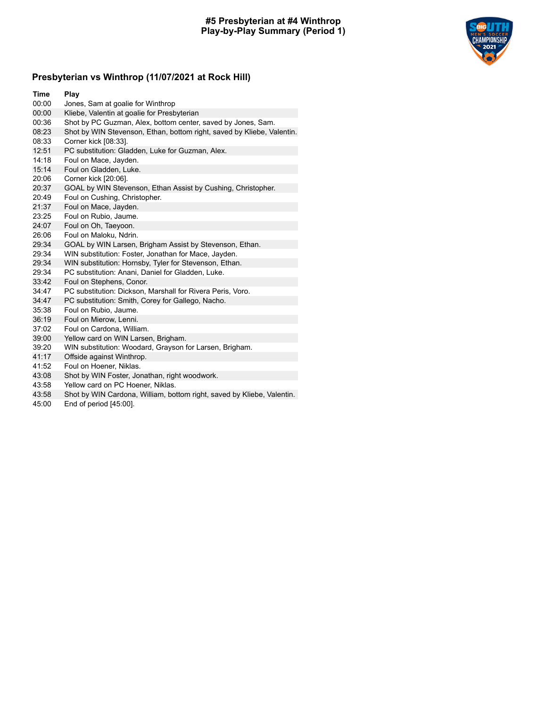#### **#5 Presbyterian at #4 Winthrop Play-by-Play Summary (Period 1)**



# **Presbyterian vs Winthrop (11/07/2021 at Rock Hill)**

| <b>Time</b> | Play                                                                   |
|-------------|------------------------------------------------------------------------|
| 00:00       | Jones, Sam at goalie for Winthrop                                      |
| 00:00       | Kliebe, Valentin at goalie for Presbyterian                            |
| 00:36       | Shot by PC Guzman, Alex, bottom center, saved by Jones, Sam.           |
| 08:23       | Shot by WIN Stevenson, Ethan, bottom right, saved by Kliebe, Valentin. |
| 08:33       | Corner kick [08:33].                                                   |
| 12:51       | PC substitution: Gladden, Luke for Guzman, Alex.                       |
| 14:18       | Foul on Mace, Jayden.                                                  |
| 15:14       | Foul on Gladden, Luke.                                                 |
| 20:06       | Corner kick [20:06].                                                   |
| 20:37       | GOAL by WIN Stevenson, Ethan Assist by Cushing, Christopher.           |
| 20:49       | Foul on Cushing, Christopher.                                          |
| 21:37       | Foul on Mace, Jayden.                                                  |
| 23:25       | Foul on Rubio, Jaume.                                                  |
| 24:07       | Foul on Oh, Taeyoon.                                                   |
| 26:06       | Foul on Maloku, Ndrin.                                                 |
| 29:34       | GOAL by WIN Larsen, Brigham Assist by Stevenson, Ethan.                |
| 29:34       | WIN substitution: Foster, Jonathan for Mace, Jayden.                   |
| 29:34       | WIN substitution: Hornsby, Tyler for Stevenson, Ethan.                 |
| 29:34       | PC substitution: Anani, Daniel for Gladden, Luke.                      |
| 33:42       | Foul on Stephens, Conor.                                               |
| 34:47       | PC substitution: Dickson, Marshall for Rivera Peris, Voro.             |
| 34:47       | PC substitution: Smith, Corey for Gallego, Nacho.                      |
| 35:38       | Foul on Rubio, Jaume.                                                  |
| 36:19       | Foul on Mierow, Lenni.                                                 |
| 37:02       | Foul on Cardona, William.                                              |
| 39:00       | Yellow card on WIN Larsen, Brigham.                                    |
| 39:20       | WIN substitution: Woodard, Grayson for Larsen, Brigham.                |
| 41:17       | Offside against Winthrop.                                              |
| 41:52       | Foul on Hoener, Niklas.                                                |
| 43:08       | Shot by WIN Foster, Jonathan, right woodwork.                          |
| 43:58       | Yellow card on PC Hoener, Niklas.                                      |

- 43:58 Shot by WIN Cardona, William, bottom right, saved by Kliebe, Valentin.<br>45:00 End of period [45:00].
- End of period [45:00].